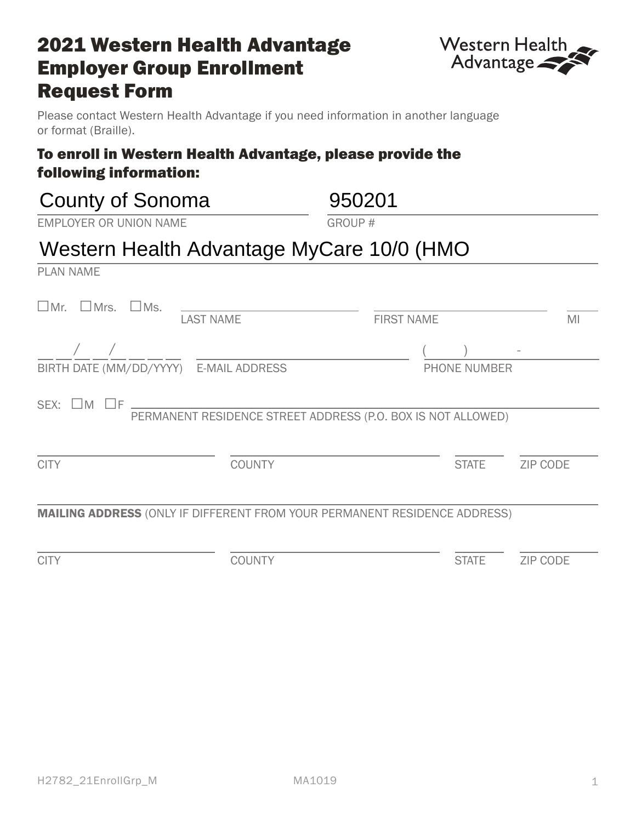#### H2782\_21EnrollGrp\_M MA1019

### MAILING ADDRESS (ONLY IF DIFFERENT FROM YOUR PERMANENT RESIDENCE ADDRESS)

CITY COUNTY STATE ZIP CODE

# **2021 Western Health Advantage** Employer Group Enrollment Request Form

Please contact Western Health Advantage if you need information in another language or format (Braille).

## To enroll in Western Health Advantage, please provide the following information:

| <b>County of Sonoma</b>                                                          | 950201                                                       |  |  |  |
|----------------------------------------------------------------------------------|--------------------------------------------------------------|--|--|--|
| <b>EMPLOYER OR UNION NAME</b>                                                    | <b>GROUP#</b>                                                |  |  |  |
| Western Health Advantage MyCare 10/0 (HMO                                        |                                                              |  |  |  |
| <b>PLAN NAME</b>                                                                 |                                                              |  |  |  |
| $\Box$ Mr. $\Box$ Mrs.<br>$\square$ Ms.<br><b>LAST NAME</b>                      | <b>FIRST NAME</b><br>MI                                      |  |  |  |
|                                                                                  |                                                              |  |  |  |
| BIRTH DATE (MM/DD/YYYY) E-MAIL ADDRESS                                           | <b>PHONE NUMBER</b>                                          |  |  |  |
| SEX: $\Box$ M $\Box$ F $\Box$                                                    | PERMANENT RESIDENCE STREET ADDRESS (P.O. BOX IS NOT ALLOWED) |  |  |  |
| <b>CITY</b><br><b>COUNTY</b>                                                     | <b>STATE</b><br><b>ZIP CODE</b>                              |  |  |  |
| <b>MAILING ADDRESS (ONLY IF DIFFERENT FROM YOUR PERMANENT RESIDENCE ADDRESS)</b> |                                                              |  |  |  |

1

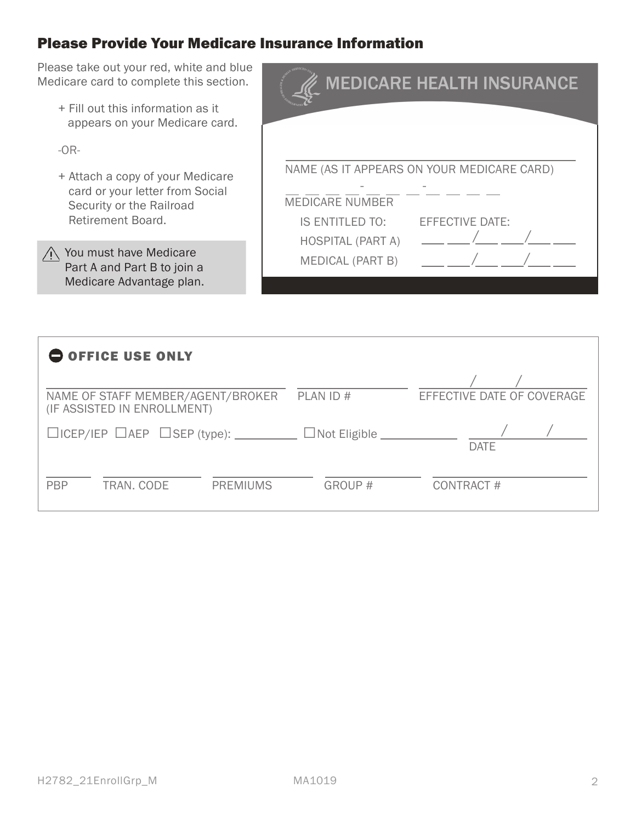### Please Provide Your Medicare Insurance Information

Please take out your red, white and blue Medicare card to complete this section.

+ Fill out this information as it appears on your Medicare card.

-OR-

+ Attach a copy of your Medicare card or your letter from Social Security or the Railroad Retirement Board.

 $\bigwedge$  You must have Medicare Part A and Part B to join a Medicare Advantage plan.

|                          | <b>MEDICARE HEALTH INSURANCE</b>           |
|--------------------------|--------------------------------------------|
|                          | NAME (AS IT APPEARS ON YOUR MEDICARE CARD) |
|                          |                                            |
| <b>MEDICARE NUMBER</b>   |                                            |
| <b>IS ENTITLED TO:</b>   | <b>EFFECTIVE DATE:</b>                     |
| <b>HOSPITAL (PART A)</b> |                                            |
| <b>MEDICAL (PART B)</b>  |                                            |

| O OFFICE USE ONLY                                                |                                                         |                 |                            |                            |  |  |  |
|------------------------------------------------------------------|---------------------------------------------------------|-----------------|----------------------------|----------------------------|--|--|--|
| NAME OF STAFF MEMBER/AGENT/BROKER<br>(IF ASSISTED IN ENROLLMENT) |                                                         |                 | PLAN ID#                   | EFFECTIVE DATE OF COVERAGE |  |  |  |
|                                                                  | $\Box$ ICEP/IEP $\Box$ AEP $\Box$ SEP (type): _________ |                 | $\Box$ Not Eligible $\Box$ | <b>DATE</b>                |  |  |  |
| <b>PBP</b>                                                       | TRAN. CODE                                              | <b>PREMIUMS</b> | GROUP#                     | CONTRACT#                  |  |  |  |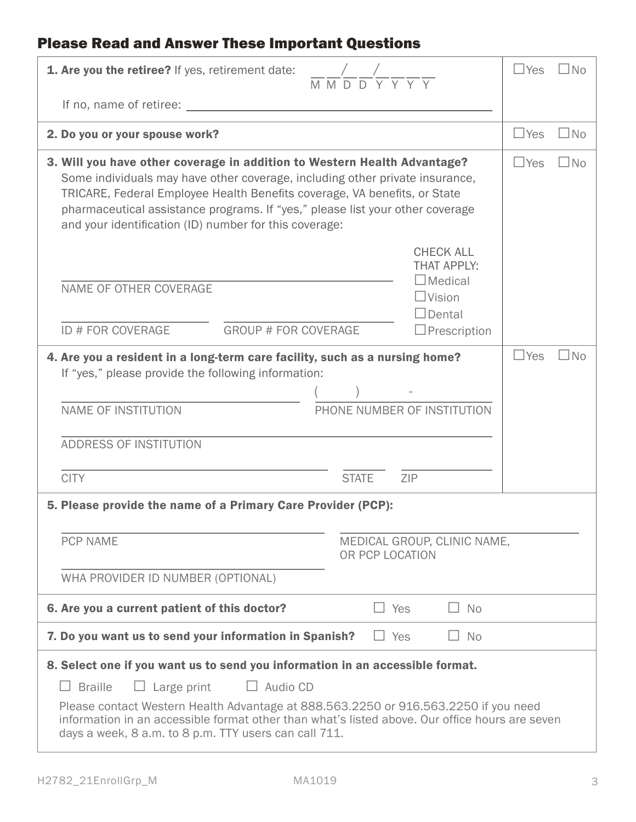## Please Read and Answer These Important Questions

| 1. Are you the retiree? If yes, retirement date:                                                                                                                                                                                                                                                                                                                                           | $\frac{1}{M}\frac{1}{M}\frac{1}{D}\frac{1}{D}\frac{1}{Y}\frac{1}{Y}\frac{1}{Y}\frac{1}{Y}$ |                                                                                                                   | $\Box$ Yes | $\Box$ No |
|--------------------------------------------------------------------------------------------------------------------------------------------------------------------------------------------------------------------------------------------------------------------------------------------------------------------------------------------------------------------------------------------|--------------------------------------------------------------------------------------------|-------------------------------------------------------------------------------------------------------------------|------------|-----------|
| If no, name of retiree: <u>containing</u> the set of the set of the set of the set of the set of the set of the set of the set of the set of the set of the set of the set of the set of the set of the set of the set of the set o                                                                                                                                                        |                                                                                            |                                                                                                                   |            |           |
| 2. Do you or your spouse work?                                                                                                                                                                                                                                                                                                                                                             |                                                                                            |                                                                                                                   | $\Box$ Yes | $\Box$ No |
| 3. Will you have other coverage in addition to Western Health Advantage?<br>Some individuals may have other coverage, including other private insurance,<br>TRICARE, Federal Employee Health Benefits coverage, VA benefits, or State<br>pharmaceutical assistance programs. If "yes," please list your other coverage<br>and your identification (ID) number for this coverage:           |                                                                                            |                                                                                                                   | $\Box$ Yes | l INo     |
| NAME OF OTHER COVERAGE<br><b>GROUP # FOR COVERAGE</b><br>ID # FOR COVERAGE                                                                                                                                                                                                                                                                                                                 |                                                                                            | <b>CHECK ALL</b><br><b>THAT APPLY:</b><br>$\Box$ Medical<br>$\Box$ Vision<br>$\Box$ Dental<br>$\Box$ Prescription |            |           |
| 4. Are you a resident in a long-term care facility, such as a nursing home?<br>If "yes," please provide the following information:                                                                                                                                                                                                                                                         |                                                                                            |                                                                                                                   | $\Box$ Yes | $\Box$ No |
| <b>NAME OF INSTITUTION</b>                                                                                                                                                                                                                                                                                                                                                                 |                                                                                            | PHONE NUMBER OF INSTITUTION                                                                                       |            |           |
| ADDRESS OF INSTITUTION                                                                                                                                                                                                                                                                                                                                                                     |                                                                                            |                                                                                                                   |            |           |
| <b>CITY</b>                                                                                                                                                                                                                                                                                                                                                                                | <b>STATE</b>                                                                               | ZIP                                                                                                               |            |           |
| 5. Please provide the name of a Primary Care Provider (PCP):                                                                                                                                                                                                                                                                                                                               |                                                                                            |                                                                                                                   |            |           |
| <b>PCP NAME</b>                                                                                                                                                                                                                                                                                                                                                                            | OR PCP LOCATION                                                                            | MEDICAL GROUP, CLINIC NAME,                                                                                       |            |           |
| WHA PROVIDER ID NUMBER (OPTIONAL)                                                                                                                                                                                                                                                                                                                                                          |                                                                                            |                                                                                                                   |            |           |
| 6. Are you a current patient of this doctor?                                                                                                                                                                                                                                                                                                                                               | $\Box$ Yes                                                                                 | $\Box$ No                                                                                                         |            |           |
| 7. Do you want us to send your information in Spanish?                                                                                                                                                                                                                                                                                                                                     | $\Box$ Yes                                                                                 | $\Box$ No                                                                                                         |            |           |
| 8. Select one if you want us to send you information in an accessible format.<br>$\Box$ Large print<br>$\Box$ Audio CD<br><b>Braille</b><br>Please contact Western Health Advantage at 888.563.2250 or 916.563.2250 if you need<br>information in an accessible format other than what's listed above. Our office hours are seven<br>days a week, 8 a.m. to 8 p.m. TTY users can call 711. |                                                                                            |                                                                                                                   |            |           |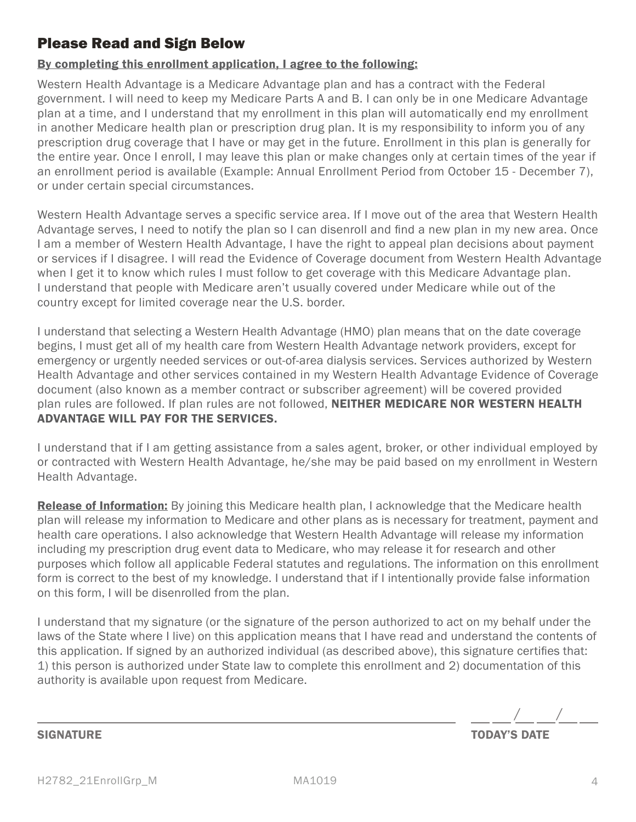### Please Read and Sign Below

#### By completing this enrollment application, I agree to the following:

Western Health Advantage is a Medicare Advantage plan and has a contract with the Federal government. I will need to keep my Medicare Parts A and B. I can only be in one Medicare Advantage plan at a time, and I understand that my enrollment in this plan will automatically end my enrollment in another Medicare health plan or prescription drug plan. It is my responsibility to inform you of any prescription drug coverage that I have or may get in the future. Enrollment in this plan is generally for the entire year. Once I enroll, I may leave this plan or make changes only at certain times of the year if an enrollment period is available (Example: Annual Enrollment Period from October 15 - December 7), or under certain special circumstances.

Western Health Advantage serves a specific service area. If I move out of the area that Western Health Advantage serves, I need to notify the plan so I can disenroll and find a new plan in my new area. Once I am a member of Western Health Advantage, I have the right to appeal plan decisions about payment or services if I disagree. I will read the Evidence of Coverage document from Western Health Advantage when I get it to know which rules I must follow to get coverage with this Medicare Advantage plan. I understand that people with Medicare aren't usually covered under Medicare while out of the country except for limited coverage near the U.S. border.

 emergency or urgently needed services or out-of-area dialysis services. Services authorized by Western I understand that selecting a Western Health Advantage (HMO) plan means that on the date coverage begins, I must get all of my health care from Western Health Advantage network providers, except for Health Advantage and other services contained in my Western Health Advantage Evidence of Coverage document (also known as a member contract or subscriber agreement) will be covered provided plan rules are followed. If plan rules are not followed, NEITHER MEDICARE NOR WESTERN HEALTH ADVANTAGE WILL PAY FOR THE SERVICES.

I understand that if I am getting assistance from a sales agent, broker, or other individual employed by or contracted with Western Health Advantage, he/she may be paid based on my enrollment in Western Health Advantage.

**Release of Information:** By joining this Medicare health plan, I acknowledge that the Medicare health plan will release my information to Medicare and other plans as is necessary for treatment, payment and health care operations. I also acknowledge that Western Health Advantage will release my information including my prescription drug event data to Medicare, who may release it for research and other purposes which follow all applicable Federal statutes and regulations. The information on this enrollment form is correct to the best of my knowledge. I understand that if I intentionally provide false information on this form, I will be disenrolled from the plan.

I understand that my signature (or the signature of the person authorized to act on my behalf under the laws of the State where I live) on this application means that I have read and understand the contents of this application. If signed by an authorized individual (as described above), this signature certifies that: 1) this person is authorized under State law to complete this enrollment and 2) documentation of this authority is available upon request from Medicare.

/ /

**TODAY'S DATE** 

#### **SIGNATURE**